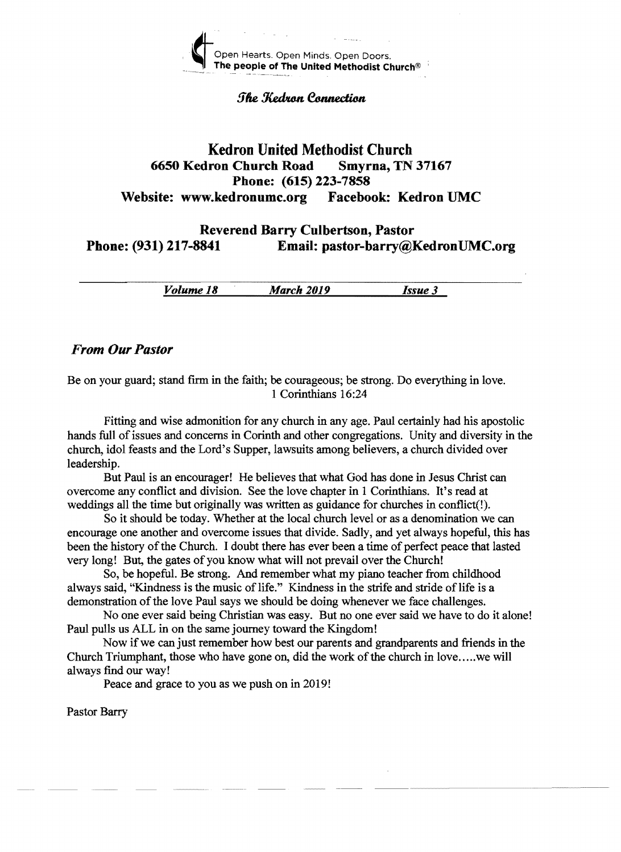

#### **The Kedron Connection**

# Kedron United Methodist Church 6650 Kedron Chureh Road Smyrna, TN 37167 Phone: (615) 223-7858 Website: www.kedronumc.org Facebook: Kedron UMC

Reverend Barry Culbertson, Pastor Phone: (931) 217-8841 Email: pastor-barry@KedronUMC.org

*Volume 18 March 2019 Issue* 3

# *From Our Pastor*

Be on your guard; stand ftrm in the faith; be courageous; be strong. Do everything in love. 1 Corinthians 16:24

Fitting and wise admonition for any church in any age. Paul certainly had his apostolic hands full of issues and concerns in Corinth and other congregations. Unity and diversity in the church, idol feasts and the Lord's Supper, lawsuits among believers, a church divided over leadership.

But Paul is an encourager! He believes that what God has done in Jesus Christ can overcome any conflict and division. See the love chapter in 1 Corinthians. It's read at weddings all the time but originally was written as guidance for churches in conflict(!).

So it should be today. Whether at the local church level or as a denomination we can encourage one another and overcome issues that divide. Sadly, and yet always hopeful, this has been the history of the Church. I doubt there has ever been a time of perfect peace that lasted very long! But, the gates of you know what will not prevail over the Church!

So, be hopeful. Be strong. And remember what my piano teacher from childhood always said, "Kindness is the music of life." Kindness in the strife and stride of life is a demonstration of the love Paul says we should be doing whenever we face challenges.

No one ever said being Christian was easy. But no one ever said we have to do it alone! Paul pulls us ALL in on the same journey toward the Kingdom!

Now if we can just remember how best our parents and grandparents and friends in the Church Triumphant, those who have gone on, did the work of the church in love..... we will always find our way!

Peace and grace to you as we push on in 2019!

Pastor Barry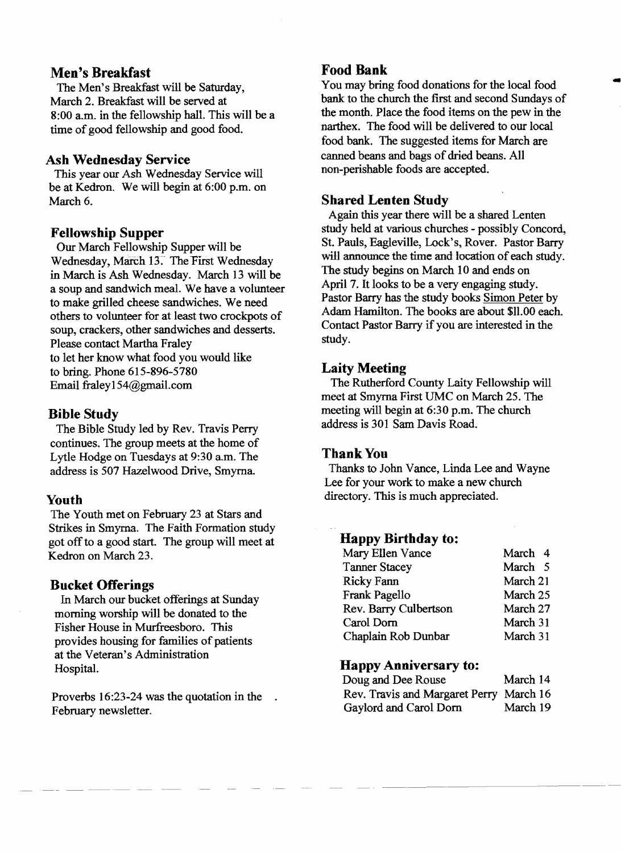# **Men's Breakfast**

The Men's Breakfast will be Saturday, March 2. Breakfast will be served at 8:00 a.m. in the fellowship hall. This will be a time of good fellowship and good food.

### **Ash Wednesday Service**

This year our Ash Wednesday Service will be at Kedron. We will begin at 6:00 p.m. on March 6.

# **Fellowship Supper**

Our March Fellowship Supper will be Wednesday, March 13. The First Wednesday in March is Ash Wednesday. March 13 will be a soup and sandwich meal. We have a volunteer to make grilled cheese sandwiches. We need others to volunteer for at least two crockpots of soup, crackers, other sandwiches and desserts. Please contact Martha Fraley to let her know what food you would like to bring. Phone 615-896-5780 Email fraleyl54@gmaiLcom

# **Bible Study**

The Bible Study led by Rev. Travis Perry continues. The group meets at the home of Lytle Hodge on Tuesdays at 9:30 a.m. The address is 507 Hazelwood Drive, Smyrna.

# **Youth**

The Youth met on February 23 at Stars and Strikes in Smyrna. The Faith Formation study got offto a good start. The group will meet at Kedron on March 23.

# **Bucket Offerings**

In March our bucket offerings at Sunday morning worship will be donated to the Fisher House in Murfreesboro. This provides housing for families of patients at the Veteran's Administration Hospital.

Proverbs 16:23-24 was the quotation in the February newsletter.

**Food Bank**<br>You may bring food donations for the local food Food Bank<br>You may bring food donations for the local food<br>bank to the church the first and second Sundays of the month. Place the food items on the pew in the narthex. The food will be delivered to our local food bank. The suggested items for March are canned beans and bags of dried beans. All non-perishable foods are accepted.

# **Shared Lenten Study**

Again this year there will be a shared Lenten study held at various churches - possibly Concord, St. Pauls, Eagleville, Lock's, Rover. Pastor Barry will announce the time and location of each study. The study begins on March 10 and ends on April 7. It looks to be a very engaging study. Pastor Barry has the study books Simon Peter by Adam Hamilton. The books are about \$11.00 each. Contact Pastor Barry if you are interested in the study.

# **Laity Meeting**

The Rutherford County Laity Fellowship will meet at Smyrna First UMC on March 25. The meeting will begin at 6:30 p.m. The church address is 301 Sam Davis Road.

# Thank You

Thanks to John Vance, Linda Lee and Wayne Lee for your work to make a new church directory. This is much appreciated.

# **Happy Birthday to:**

| Mary Ellen Vance      | March 4  |
|-----------------------|----------|
| <b>Tanner Stacey</b>  | March 5  |
| <b>Ricky Fann</b>     | March 21 |
| Frank Pagello         | March 25 |
| Rev. Barry Culbertson | March 27 |
| Carol Dorn            | March 31 |
| Chaplain Rob Dunbar   | March 31 |

# **Happy Anniversary to:**

| Doug and Dee Rouse                      | March 14 |
|-----------------------------------------|----------|
| Rev. Travis and Margaret Perry March 16 |          |
| Gaylord and Carol Dorn                  | March 19 |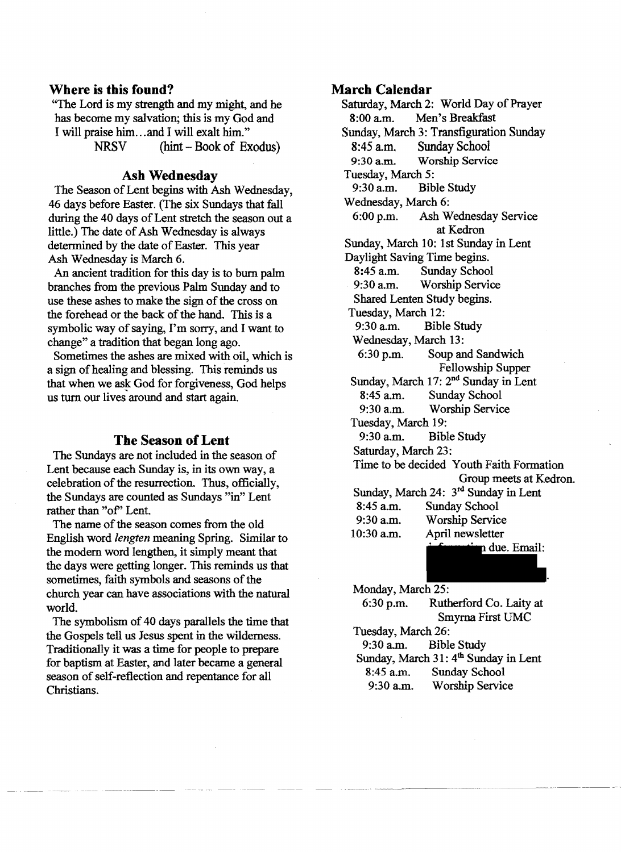#### **Where is this found?**

"The Lord is my strength and my might, and he has become my salvation; this is my God and I will praise him ... and I will exalt him."

NRSV (hint - Book of Exodus)

# **Ash Wednesday**

The Season of Lent begins with Ash Wednesday, 46 days before Easter. (The six Sundays that fall during the 40 days of Lent stretch the season out a little.) The date of Ash Wednesday is always determined by the date of Easter. This year Ash Wednesday is March 6.

An ancient tradition for this day is to burn palm branches from the previous Palm Sunday and to use these ashes to make the sign of the cross on the forehead or the back of the hand. This is a symbolic way of saying, I'm sorry, and I want to change" a tradition that began long ago.

Sometimes the ashes are mixed with oil, which is a sign of healing and blessing. This reminds us that when we ask God for forgiveness, God helps us turn our lives around and start again.

#### **The Season of Lent**

The Sundays are not included in the season of Lent because each Sunday is, in its own way, a celebration of the resurrection. Thus, officially, the Sundays are counted as Sundays "in" Lent rather than "of" Lent.

The name of the season comes from the old English word *lengten* meaning Spring. Similar to the modern word lengthen, it simply meant that the days were getting longer. This reminds us that sometimes, faith symbols and seasons of the church year can have associations with the natural world.

The symbolism of 40 days parallels the time that the Gospels tell us Jesus spent in the wilderness. Traditionally it was a time for people to prepare for baptism at Easter, and later became a general season of self-reflection and repentance for all Christians.

#### **March Calendar**

Saturday, March 2: World Day of Prayer 8:00 am. Men's Breakfast Sunday, March 3: Transfiguration Sunday 8:45 a.m. Sunday School<br>9:30 a.m. Worship Servic Worship Service Tuesday, March 5:<br>9:30 a.m. Bib Bible Study Wednesday, March 6: 6:00 p.m. Ash Wednesday Service at Kedron Sunday, March 10: 1st Sunday in Lent Daylight Saving Time begins. 8:45 a.m. Sunday School<br>9:30 a.m. Worship Servic Worship Service Shared Lenten Study begins. Tuesday, March 12:<br>9:30 a.m. Bibl **Bible Study** Wednesday, March 13: 6:30 p.m. Soup and Sandwich Fellowship Supper Sunday, March 17: 2<sup>nd</sup> Sunday in Lent 8:45 a.m. Sunday School 9:30 a.m. Worship Service Tuesday, March 19: 9:30 am. Bible Study Saturday, March 23: Time to be decided Youth Faith Formation Group meets at Kedron. Sunday, March 24: 3rd Sunday in Lent 8:45 a.m. Sunday School 9:30 a.m. Worship Service 10:30 a.m. April newsletter due. Email:

Monday, March 25:

| $6:30$ p.m.        | Rutherford Co. Laity at                          |
|--------------------|--------------------------------------------------|
|                    | Smyrna First UMC                                 |
| Tuesday, March 26: |                                                  |
|                    | 9:30 a.m. Bible Study                            |
|                    | Sunday, March 31: 4 <sup>th</sup> Sunday in Lent |
| 8:45 a.m.          | Sunday School                                    |
| 9:30 a.m.          | <b>Worship Service</b>                           |